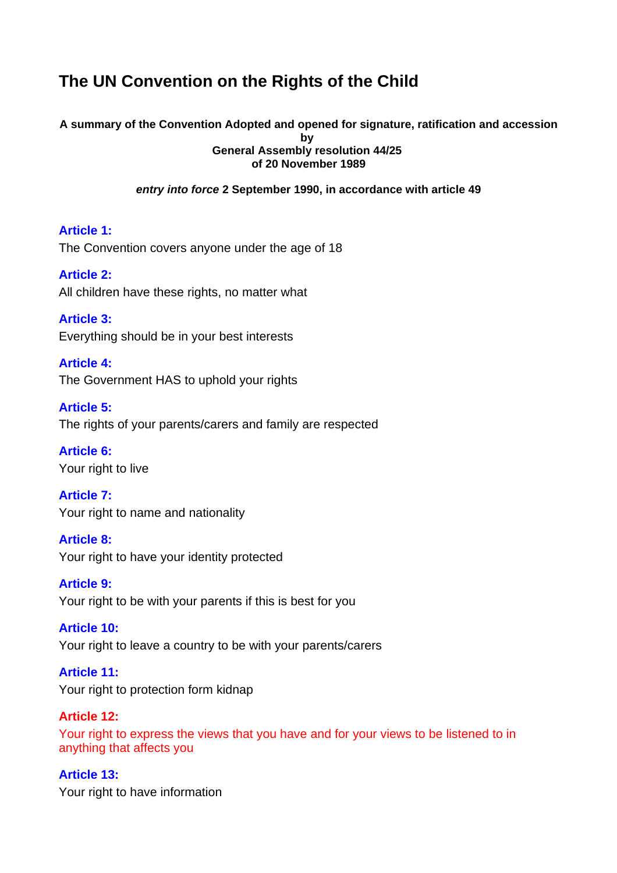# **The UN Convention on the Rights of the Child**

# **A summary of the Convention Adopted and opened for signature, ratification and accession**

**by General Assembly resolution 44/25 of 20 November 1989** 

*entry into force* **2 September 1990, in accordance with article 49** 

**Article 1:**  The Convention covers anyone under the age of 18

**Article 2:**  All children have these rights, no matter what

**Article 3:**  Everything should be in your best interests

**Article 4:**  The Government HAS to uphold your rights

**Article 5:**  The rights of your parents/carers and family are respected

**Article 6:**  Your right to live

**Article 7:**  Your right to name and nationality

**Article 8:**  Your right to have your identity protected

**Article 9:**  Your right to be with your parents if this is best for you

**Article 10:**  Your right to leave a country to be with your parents/carers

**Article 11:**  Your right to protection form kidnap

**Article 12:**  Your right to express the views that you have and for your views to be listened to in anything that affects you

**Article 13:**  Your right to have information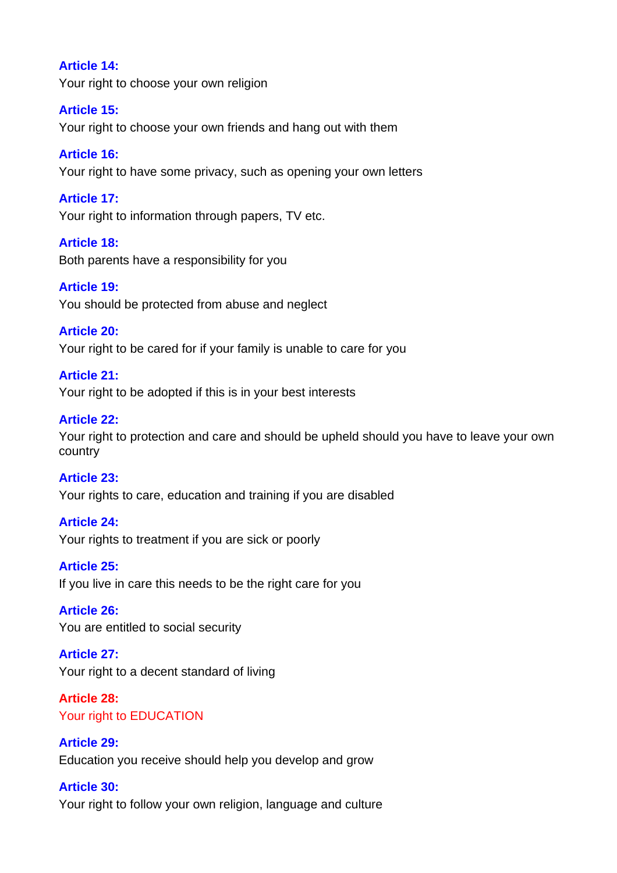### **Article 14:**

Your right to choose your own religion

### **Article 15:**

Your right to choose your own friends and hang out with them

## **Article 16:**

Your right to have some privacy, such as opening your own letters

## **Article 17:**

Your right to information through papers, TV etc.

## **Article 18:**

Both parents have a responsibility for you

### **Article 19:**

You should be protected from abuse and neglect

### **Article 20:**

Your right to be cared for if your family is unable to care for you

### **Article 21:**

Your right to be adopted if this is in your best interests

### **Article 22:**

Your right to protection and care and should be upheld should you have to leave your own country

#### **Article 23:**

Your rights to care, education and training if you are disabled

## **Article 24:**

Your rights to treatment if you are sick or poorly

### **Article 25:**

If you live in care this needs to be the right care for you

#### **Article 26:**

You are entitled to social security

## **Article 27:**

Your right to a decent standard of living

# **Article 28:**  Your right to EDUCATION

# **Article 29:**  Education you receive should help you develop and grow

# **Article 30:**

Your right to follow your own religion, language and culture